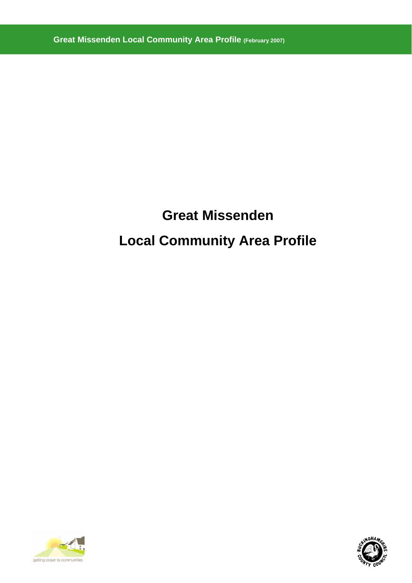# **Great Missenden Local Community Area Profile**



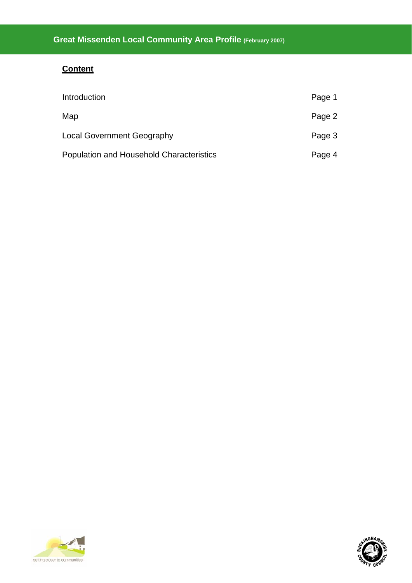# **Content**

| Introduction                                    | Page 1 |
|-------------------------------------------------|--------|
| Map                                             | Page 2 |
| <b>Local Government Geography</b>               | Page 3 |
| <b>Population and Household Characteristics</b> | Page 4 |



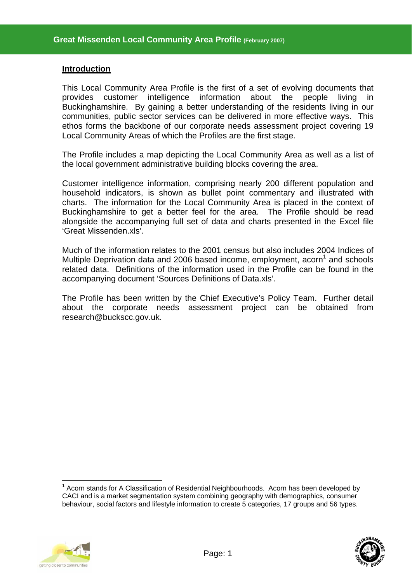#### **Introduction**

This Local Community Area Profile is the first of a set of evolving documents that provides customer intelligence information about the people living in Buckinghamshire. By gaining a better understanding of the residents living in our communities, public sector services can be delivered in more effective ways. This ethos forms the backbone of our corporate needs assessment project covering 19 Local Community Areas of which the Profiles are the first stage.

The Profile includes a map depicting the Local Community Area as well as a list of the local government administrative building blocks covering the area.

Customer intelligence information, comprising nearly 200 different population and household indicators, is shown as bullet point commentary and illustrated with charts. The information for the Local Community Area is placed in the context of Buckinghamshire to get a better feel for the area. The Profile should be read alongside the accompanying full set of data and charts presented in the Excel file 'Great Missenden.xls'.

Much of the information relates to the 2001 census but also includes 2004 Indices of Multiple Deprivation data and 2006 based income, employment, acorn<sup>1</sup> and schools related data. Definitions of the information used in the Profile can be found in the accompanying document 'Sources Definitions of Data.xls'.

The Profile has been written by the Chief Executive's Policy Team. Further detail about the corporate needs assessment project can be obtained from research@buckscc.gov.uk.

 $\overline{a}$ <sup>1</sup> Acorn stands for A Classification of Residential Neighbourhoods. Acorn has been developed by CACI and is a market segmentation system combining geography with demographics, consumer behaviour, social factors and lifestyle information to create 5 categories, 17 groups and 56 types.



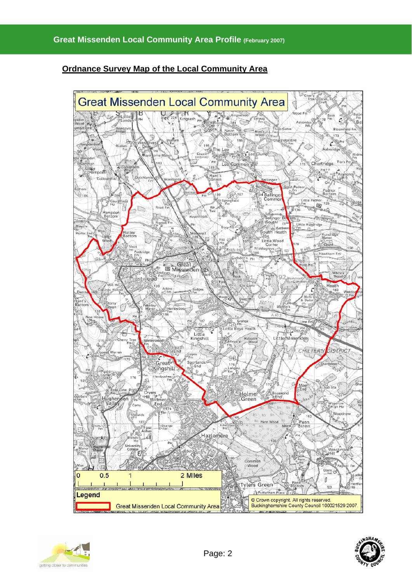# **Ordnance Survey Map of the Local Community Area**





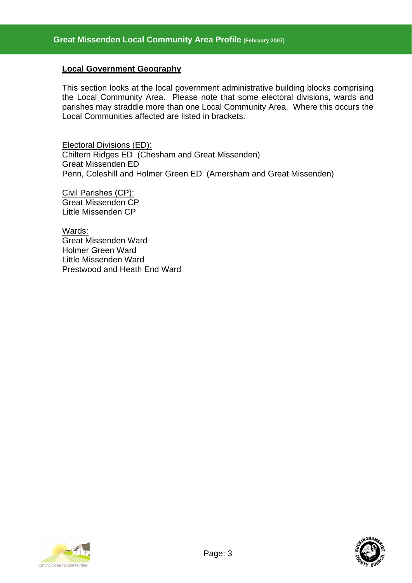## **Local Government Geography**

This section looks at the local government administrative building blocks comprising the Local Community Area. Please note that some electoral divisions, wards and parishes may straddle more than one Local Community Area. Where this occurs the Local Communities affected are listed in brackets.

Electoral Divisions (ED): Chiltern Ridges ED (Chesham and Great Missenden) Great Missenden ED Penn, Coleshill and Holmer Green ED (Amersham and Great Missenden)

Civil Parishes (CP): Great Missenden CP Little Missenden CP

Wards: Great Missenden Ward Holmer Green Ward Little Missenden Ward Prestwood and Heath End Ward



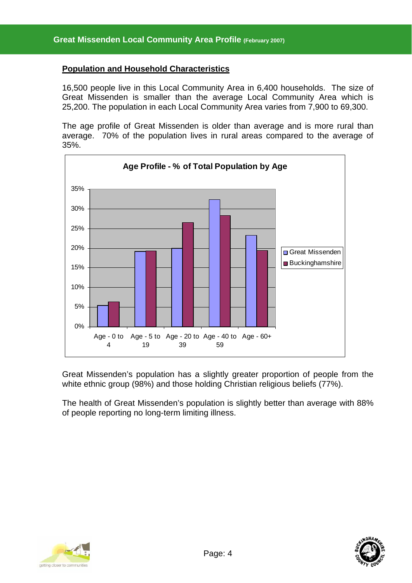## **Population and Household Characteristics**

16,500 people live in this Local Community Area in 6,400 households. The size of Great Missenden is smaller than the average Local Community Area which is 25,200. The population in each Local Community Area varies from 7,900 to 69,300.

The age profile of Great Missenden is older than average and is more rural than average. 70% of the population lives in rural areas compared to the average of 35%.



Great Missenden's population has a slightly greater proportion of people from the white ethnic group (98%) and those holding Christian religious beliefs (77%).

The health of Great Missenden's population is slightly better than average with 88% of people reporting no long-term limiting illness.



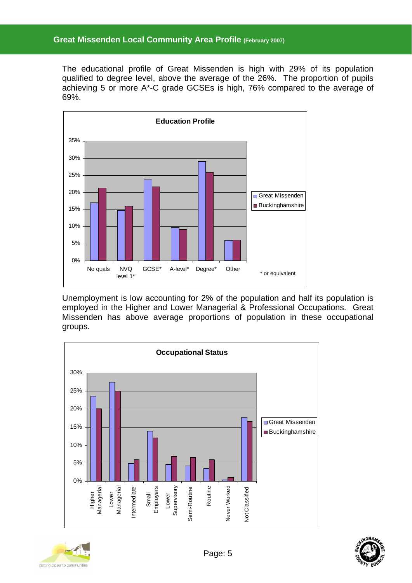The educational profile of Great Missenden is high with 29% of its population qualified to degree level, above the average of the 26%. The proportion of pupils achieving 5 or more A\*-C grade GCSEs is high, 76% compared to the average of 69%.



Unemployment is low accounting for 2% of the population and half its population is employed in the Higher and Lower Managerial & Professional Occupations. Great Missenden has above average proportions of population in these occupational groups.





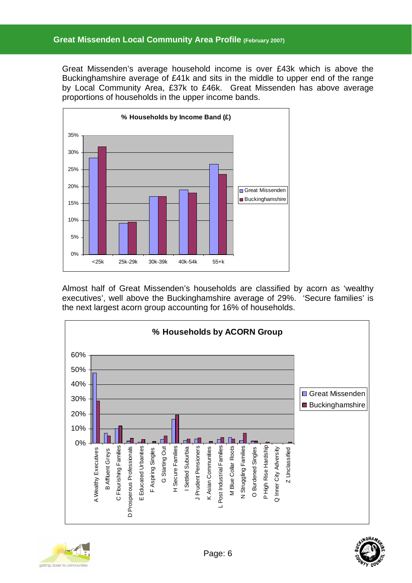Great Missenden's average household income is over £43k which is above the Buckinghamshire average of £41k and sits in the middle to upper end of the range by Local Community Area, £37k to £46k. Great Missenden has above average proportions of households in the upper income bands.



Almost half of Great Missenden's households are classified by acorn as 'wealthy executives', well above the Buckinghamshire average of 29%. 'Secure families' is the next largest acorn group accounting for 16% of households.





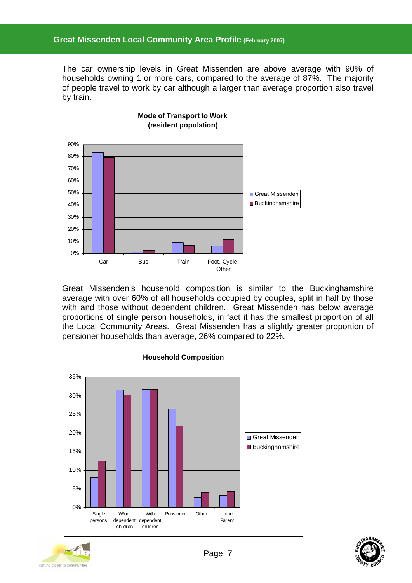# **Great Missenden Local Community Area Profile (February 2007)**

The car ownership levels in Great Missenden are above average with 90% of households owning 1 or more cars, compared to the average of 87%. The majority of people travel to work by car although a larger than average proportion also travel by train.



Great Missenden's household composition is similar to the Buckinghamshire average with over 60% of all households occupied by couples, split in half by those with and those without dependent children. Great Missenden has below average proportions of single person households, in fact it has the smallest proportion of all the Local Community Areas. Great Missenden has a slightly greater proportion of pensioner households than average, 26% compared to 22%.